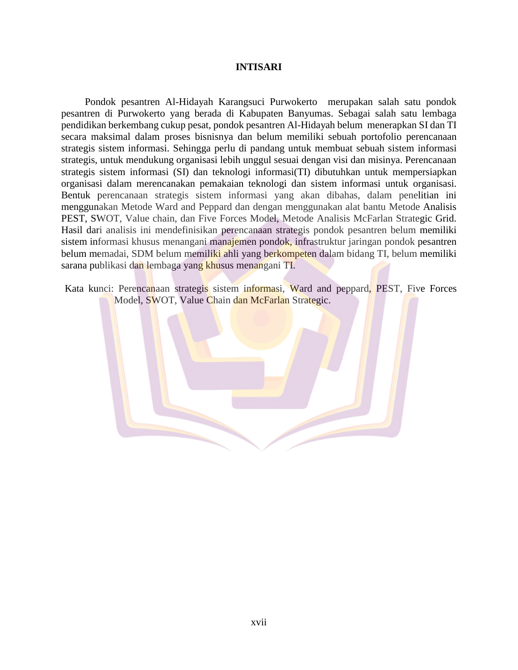## **INTISARI**

Pondok pesantren Al-Hidayah Karangsuci Purwokerto merupakan salah satu pondok pesantren di Purwokerto yang berada di Kabupaten Banyumas. Sebagai salah satu lembaga pendidikan berkembang cukup pesat, pondok pesantren Al-Hidayah belum menerapkan SI dan TI secara maksimal dalam proses bisnisnya dan belum memiliki sebuah portofolio perencanaan strategis sistem informasi. Sehingga perlu di pandang untuk membuat sebuah sistem informasi strategis, untuk mendukung organisasi lebih unggul sesuai dengan visi dan misinya. Perencanaan strategis sistem informasi (SI) dan teknologi informasi(TI) dibutuhkan untuk mempersiapkan organisasi dalam merencanakan pemakaian teknologi dan sistem informasi untuk organisasi. Bentuk perencanaan strategis sistem informasi yang akan dibahas, dalam penelitian ini menggunakan Metode Ward and Peppard dan dengan menggunakan alat bantu Metode Analisis PEST, SWOT, Value chain, dan Five Forces Model, Metode Analisis McFarlan Strategic Grid. Hasil dari analisis ini mendefinisikan perencanaan strategis pondok pesantren belum memiliki sistem informasi khusus menangani manajemen pondok, infrastruktur jaringan pondok pesantren belum memadai, SDM belum memiliki ahli yang berkompeten dalam bidang TI, belum memiliki sarana publikasi dan lembaga yang khusus menangani TI.

Kata kunci: Perencanaan strategis sistem informasi, Ward and peppard, PEST, Five Forces Model, SWOT, Value Chain dan McFarlan Strategic.